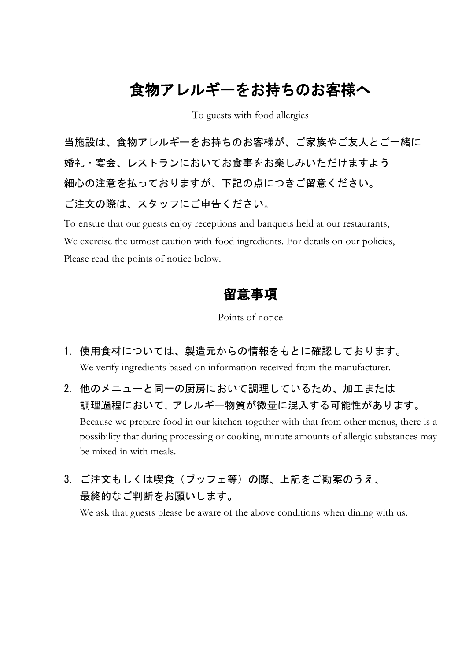# 食物アレルギーをお持ちのお客様へ

To guests with food allergies

当施設は、食物アレルギーをお持ちのお客様が、ご家族やご友人とご一緒に 婚礼・宴会、レストランにおいてお食事をお楽しみいただけますよう 細心の注意を払っておりますが、下記の点につきご留意ください。 ご注文の際は、スタッフにご申告ください。

To ensure that our guests enjoy receptions and banquets held at our restaurants, We exercise the utmost caution with food ingredients. For details on our policies, Please read the points of notice below.

### 留意事項

Points of notice

- 1. 使用食材については、製造元からの情報をもとに確認しております。 We verify ingredients based on information received from the manufacturer.
- 2. 他のメニューと同一の厨房において調理しているため、加工または 調理過程において、アレルギー物質が微量に混入する可能性があります。 Because we prepare food in our kitchen together with that from other menus, there is a possibility that during processing or cooking, minute amounts of allergic substances may be mixed in with meals.
- 3. ご注文もしくは喫食(ブッフェ等)の際、上記をご勘案のうえ、 最終的なご判断をお願いします。

We ask that guests please be aware of the above conditions when dining with us.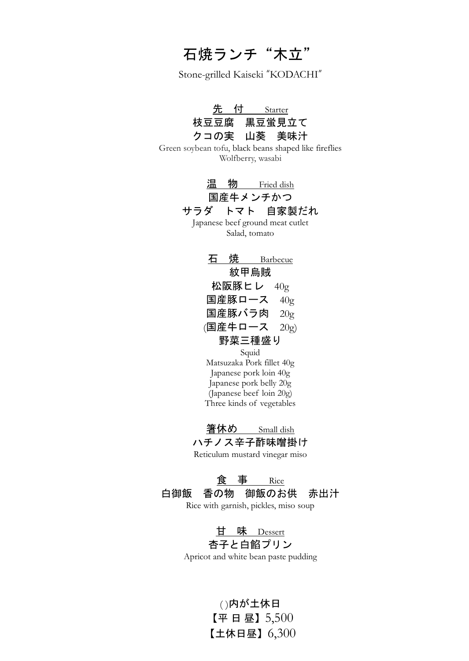石焼ランチ"木立"

Stone-grilled Kaiseki "KODACHI"

| <u>先 付   Starter</u><br>枝豆豆腐 黒豆蛍見立て<br>クコの実 山葵 美味汁<br>Green soybean tofu, black beans shaped like fireflies<br>Wolfberry, wasabi |
|----------------------------------------------------------------------------------------------------------------------------------|
| 温 物 Fried dish<br>国産牛メンチかつ<br>サラダ トマト 自家製だれ<br>Japanese beef ground meat cutlet<br>Salad, tomato                                 |
| 石 焼  Barbecue<br>紋甲烏賊                                                                                                            |
| 松阪豚ヒレ 40 $\rm g$                                                                                                                 |
| 国産豚ロース $40g$                                                                                                                     |
| 国産豚バラ肉 $20g$                                                                                                                     |
| (国産牛ロース 20g)                                                                                                                     |
| 野菜三種盛り                                                                                                                           |
| Squid                                                                                                                            |
| Matsuzaka Pork fillet 40g                                                                                                        |
| Japanese pork loin 40g                                                                                                           |
| Japanese pork belly 20g                                                                                                          |
| (Japanese beef loin 20g)                                                                                                         |
| Three kinds of vegetables                                                                                                        |
| 箸休め Small dish<br>ハチノス辛子酢味噌掛け<br>Reticulum mustard vinegar miso                                                                  |
| <u>食事 Rice</u><br>白御飯 香の物 御飯のお供 赤出汁<br>Rice with garnish, pickles, miso soup                                                     |
| <u>甘味 Dessert</u><br>杏子と白餡プリン<br>Apricot and white bean paste pudding                                                            |

( )内が土休日 【平 日 昼】5,500 【土休日昼】6,300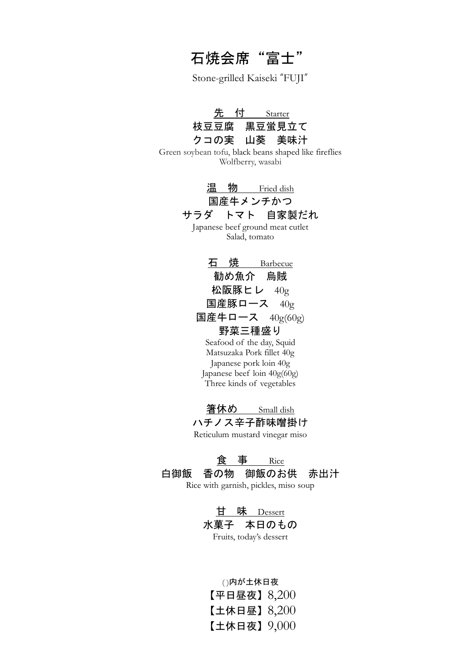# 石焼会席"富士"

Stone-grilled Kaiseki "FUJI"

| 先 付         | Starter : |
|-------------|-----------|
| 枝豆豆腐 黒豆蛍見立て |           |
| クコの実 山葵 美味汁 |           |

Green soybean tofu, black beans shaped like fireflies Wolfberry, wasabi



国産牛メンチかつ

#### サラダ トマト 自家製だれ

Japanese beef ground meat cutlet Salad, tomato

石 焼 Barbecue 勧め魚介 烏賊 松阪豚ヒレ 40g 国産豚ロース 40g 国産牛ロース 40g(60g) 野菜三種盛り Seafood of the day, Squid Matsuzaka Pork fillet 40g

Japanese pork loin 40g Japanese beef loin 40g(60g) Three kinds of vegetables

<u> 箸休め Small dish</u> ハチノス辛子酢味噌掛け Reticulum mustard vinegar miso

#### 食 事 Rice

白御飯 香の物 御飯のお供 赤出汁 Rice with garnish, pickles, miso soup

甘 味 Dessert 水菓子 本日のもの Fruits, today's dessert

( )内が土休日夜 【平日昼夜】8,200 【土休日昼】8,200 【土休日夜】9,000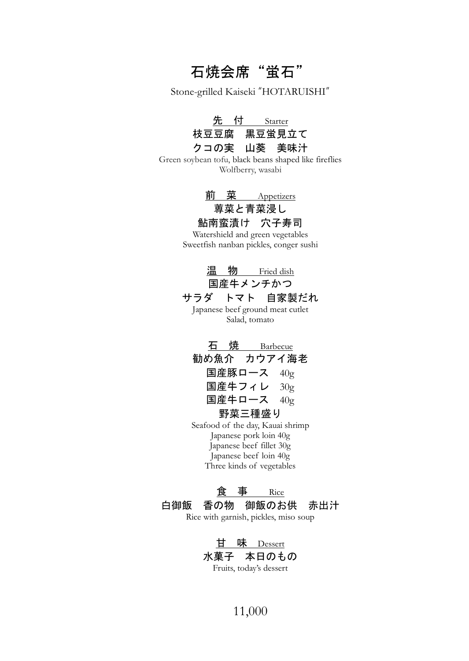# 石焼会席"蛍石"

Stone-grilled Kaiseki "HOTARUISHI"

先 付 Starter 枝豆豆腐 黒豆蛍見立て クコの実 山葵 美味汁

Green soybean tofu, black beans shaped like fireflies Wolfberry, wasabi

前 菜 Appetizers

### 蓴菜と青菜浸し

鮎南蛮漬け 穴子寿司 Watershield and green vegetables

Sweetfish nanban pickles, conger sushi



石 焼 Barbecue 勧め魚介 カウアイ海老 国産豚ロース 40g 国産牛フィレ 30g 国産牛ロース 40g 野菜三種盛り

Seafood of the day, Kauai shrimp Japanese pork loin 40g Japanese beef fillet 30g Japanese beef loin 40g Three kinds of vegetables

食 事 Rice 白御飯 香の物 御飯のお供 赤出汁 Rice with garnish, pickles, miso soup

> 甘 味 Dessert 水菓子 本日のもの Fruits, today's dessert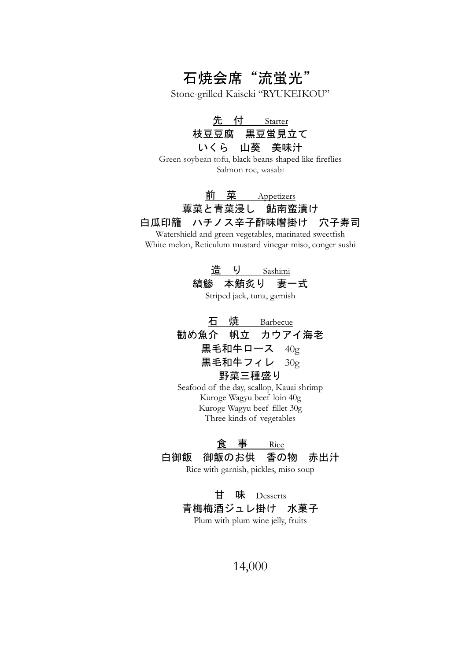石焼会席"流蛍光"

Stone-grilled Kaiseki "RYUKEIKOU"

先 付 Starter 枝豆豆腐 黒豆蛍見立て いくら 山葵 美味汁

Green soybean tofu, black beans shaped like fireflies Salmon roe, wasabi

### 前 菜 Appetizers 蓴菜と青菜浸し 鮎南蛮漬け 白瓜印籠 ハチノス辛子酢味噌掛け 穴子寿司

Watershield and green vegetables, marinated sweetfish White melon, Reticulum mustard vinegar miso, conger sushi

> 造 り Sashimi 縞鯵 本鮪炙り 妻一式

Striped jack, tuna, garnish

石 焼 Barbecue 勧め魚介 帆立 カウアイ海老 黒毛和牛ロース 40g 黒毛和牛フィレ 30g 野菜三種盛り

Seafood of the day, scallop, Kauai shrimp Kuroge Wagyu beef loin 40g Kuroge Wagyu beef fillet 30g Three kinds of vegetables

#### 食 事 Rice

#### 白御飯 御飯のお供 香の物 赤出汁

Rice with garnish, pickles, miso soup

甘 味 Desserts 青梅梅酒ジュレ掛け 水菓子 Plum with plum wine jelly, fruits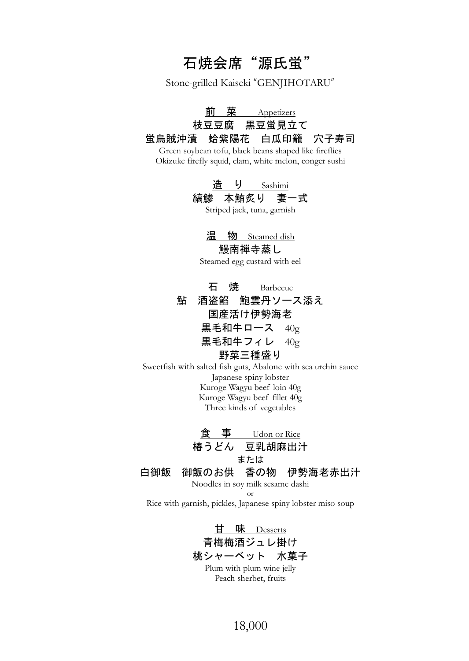### 石焼会席"源氏蛍"

Stone-grilled Kaiseki "GENJIHOTARU"

<u>前 菜 Appetizers</u>

#### 枝豆豆腐 黒豆蛍見立て 蛍烏賊沖漬 蛤紫陽花 白瓜印籠 穴子寿司

Green soybean tofu, black beans shaped like fireflies Okizuke firefly squid, clam, white melon, conger sushi

造り Sashimi

#### 縞鯵 本鮪炙り 妻一式

Striped jack, tuna, garnish

温 物 Steamed dish 鰻南禅寺蒸し

Steamed egg custard with eel

石 焼 Barbecue 鮎 酒盗餡 鮑雲丹ソース添え 国産活け伊勢海老 黒毛和牛ロース 40g 黒毛和牛フィレ 40g 野菜三種盛り

Sweetfish with salted fish guts, Abalone with sea urchin sauce Japanese spiny lobster Kuroge Wagyu beef loin 40g Kuroge Wagyu beef fillet 40g Three kinds of vegetables

食 事 Udon or Rice 椿うどん 豆乳胡麻出汁 または 白御飯 御飯のお供 香の物 伊勢海老赤出汁 Noodles in soy milk sesame dashi

or Rice with garnish, pickles, Japanese spiny lobster miso soup

> 甘 味 Desserts 青梅梅酒ジュレ掛け 桃シャーベット 水菓子 Plum with plum wine jelly Peach sherbet, fruits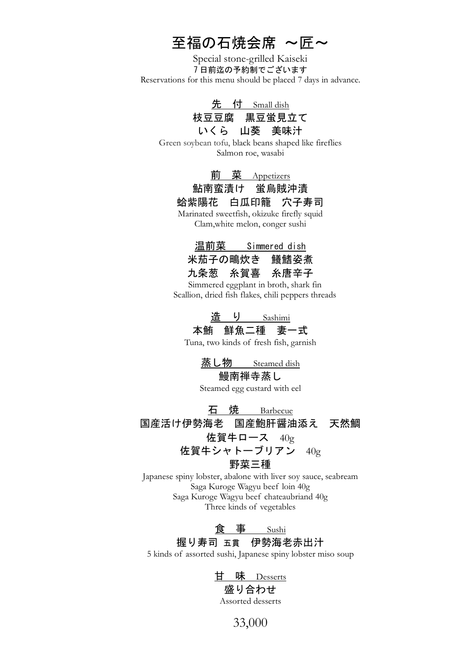# 至福の石焼会席 ~匠~

Special stone-grilled Kaiseki 7 日前迄の予約制でございます Reservations for this menu should be placed 7 days in advance.

> 先 付 Small dish 枝豆豆腐 黒豆蛍見立て いくら 山葵 美味汁

Green soybean tofu, black beans shaped like fireflies Salmon roe, wasabi

#### 菜 Appetizers

### 鮎南蛮漬け 蛍烏賊沖漬

蛤紫陽花 白瓜印籠 穴子寿司

Marinated sweetfish, okizuke firefly squid Clam,white melon, conger sushi

温前菜 Simmered dish 米茄子の鴫炊き 鱶鰭姿煮 九条葱 糸賀喜 糸唐辛子

Simmered eggplant in broth, shark fin Scallion, dried fish flakes, chili peppers threads

> 造 り Sashimi 本鮪 鮮魚二種 妻一式

Tuna, two kinds of fresh fish, garnish

蒸し物 **Steamed dish** 

#### 鰻南禅寺蒸し

Steamed egg custard with eel

石 焼 Barbecue 国産活け伊勢海老 国産鮑肝醤油添え 天然鯛 佐賀牛ロース 40g 佐賀牛シャトーブリアン 40g 野菜三種

Japanese spiny lobster, abalone with liver soy sauce, seabream Saga Kuroge Wagyu beef loin 40g Saga Kuroge Wagyu beef chateaubriand 40g Three kinds of vegetables

> 食 事 Sushi 握り寿司 五貫 伊勢海老赤出汁

5 kinds of assorted sushi, Japanese spiny lobster miso soup

甘 味 Desserts

#### 盛り合わせ

Assorted desserts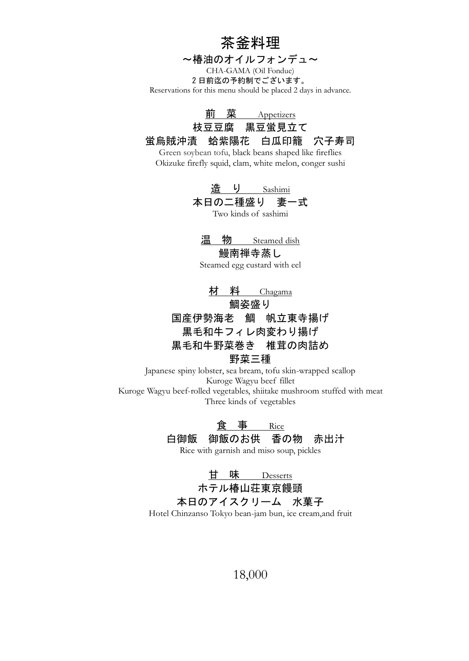茶釜料理

~椿油のオイルフォンデュ~

CHA-GAMA (Oil Fondue) 2 日前迄の予約制でございます。 Reservations for this menu should be placed 2 days in advance.

前 菜 Appetizers

枝豆豆腐 黒豆蛍見立て

蛍烏賊沖漬 蛤紫陽花 白瓜印籠 穴子寿司

Green soybean tofu, black beans shaped like fireflies Okizuke firefly squid, clam, white melon, conger sushi

> 造 り Sashimi 本日の二種盛り 妻一式

> > Two kinds of sashimi

温 物 \_\_\_ Steamed dish

鰻南禅寺蒸し

Steamed egg custard with eel

材 料 Chagama 鯛姿盛り 国産伊勢海老 鯛 帆立東寺揚げ 黒毛和牛フィレ肉変わり揚げ 黒毛和牛野菜巻き 椎茸の肉詰め 野菜三種

Japanese spiny lobster, sea bream, tofu skin-wrapped scallop Kuroge Wagyu beef fillet Kuroge Wagyu beef-rolled vegetables, shiitake mushroom stuffed with meat Three kinds of vegetables

> 食 事 Rice 白御飯 御飯のお供 香の物 赤出汁

Rice with garnish and miso soup, pickles

甘 味 Desserts ホテル椿山荘東京饅頭

本日のアイスクリーム 水菓子

Hotel Chinzanso Tokyo bean-jam bun, ice cream,and fruit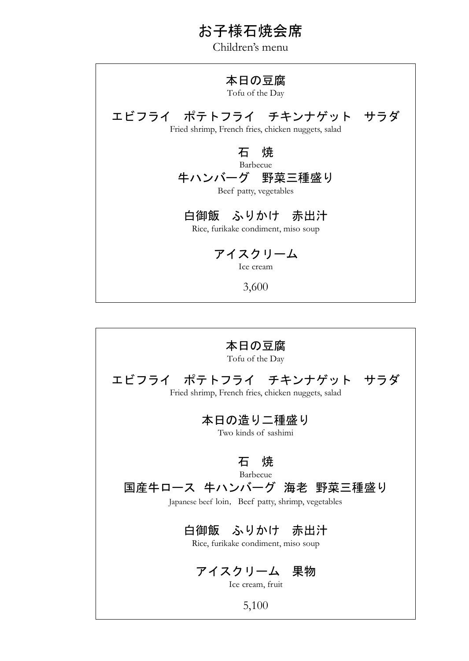### お子様石焼会席

Children's menu

### 本日の豆腐

Tofu of the Day

エビフライ ポテトフライ チキンナゲット サラダ Fried shrimp, French fries, chicken nuggets, salad

> 石 焼 Barbecue

牛ハンバーグ 野菜三種盛り

Beef patty, vegetables

## 白御飯 ふりかけ 赤出汁

Rice, furikake condiment, miso soup

アイスクリーム

Ice cream

3,600

本日の豆腐 Tofu of the Day エビフライ ポテトフライ チキンナゲット サラダ Fried shrimp, French fries, chicken nuggets, salad 本日の造り二種盛り Two kinds of sashimi 石 焼 Barbecue 国産牛ロース 牛ハンバーグ 海老 野菜三種盛り Japanese beef loin, Beef patty, shrimp, vegetables 白御飯 ふりかけ 赤出汁 Rice, furikake condiment, miso soup アイスクリーム 果物 Ice cream, fruit 5,100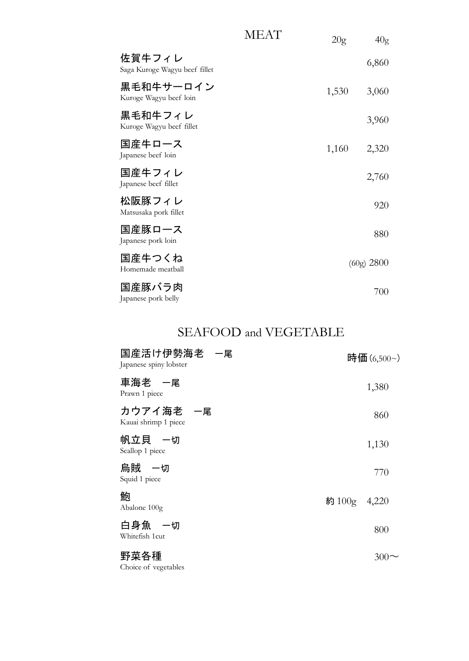|                                         | MEAT | 20g   | 40 <sub>g</sub> |
|-----------------------------------------|------|-------|-----------------|
| 佐賀牛フィレ<br>Saga Kuroge Wagyu beef fillet |      |       | 6,860           |
| 黒毛和牛サーロイン<br>Kuroge Wagyu beef loin     |      | 1,530 | 3,060           |
| 黒毛和牛フィレ<br>Kuroge Wagyu beef fillet     |      |       | 3,960           |
| 国産牛口一ス<br>Japanese beef loin            |      | 1,160 | 2,320           |
| 国産牛フィレ<br>Japanese beef fillet          |      |       | 2,760           |
| 松阪豚フィレ<br>Matsusaka pork fillet         |      |       | 920             |
| 国産豚ロース<br>Japanese pork loin            |      |       | 880             |
| 国産牛つくね<br>Homemade meatball             |      |       | (60g) 2800      |
| 国産豚バラ肉<br>Japanese pork belly           |      |       | 700             |

### SEAFOOD and VEGETABLE

| 国産活け伊勢海老 一尾<br>Japanese spiny lobster |              | 時価 (6,500~) |
|---------------------------------------|--------------|-------------|
| 車海老 一尾<br>Prawn 1 piece               |              | 1,380       |
| カウアイ海老 一尾<br>Kauai shrimp 1 piece     |              | 860         |
| 帆立貝 一切<br>Scallop 1 piece             |              | 1,130       |
| 烏賊 一切<br>Squid 1 piece                |              | 770         |
| 鮑<br>Abalone 100g                     | 約 100g 4,220 |             |
| 白身魚 一切<br>Whitefish 1cut              |              | 800         |
| 野菜各種                                  |              | 300         |

Choice of vegetables